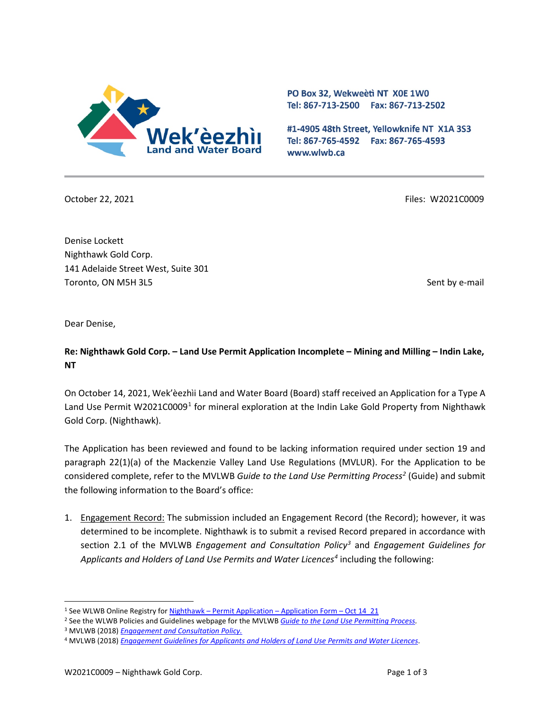

PO Box 32, Wekweeti NT X0E 1W0 Tel: 867-713-2500 Fax: 867-713-2502

#1-4905 48th Street, Yellowknife NT X1A 3S3 Tel: 867-765-4592 Fax: 867-765-4593 www.wlwb.ca

October 22, 2021 Files: W2021C0009

Denise Lockett Nighthawk Gold Corp. 141 Adelaide Street West, Suite 301 Toronto, ON M5H 3L5 Sent by e-mail

Dear Denise,

**Re: Nighthawk Gold Corp. – Land Use Permit Application Incomplete – Mining and Milling – Indin Lake, NT**

On October 14, 2021, Wek'èezhìi Land and Water Board (Board) staff received an Application for a Type A Land Use Permit W202[1](#page-0-0)C0009<sup>1</sup> for mineral exploration at the Indin Lake Gold Property from Nighthawk Gold Corp. (Nighthawk).

The Application has been reviewed and found to be lacking information required under section 19 and paragraph 22(1)(a) of the Mackenzie Valley Land Use Regulations (MVLUR). For the Application to be considered complete, refer to the MVLWB *Guide to the Land Use Permitting Proces[s2](#page-0-1)* (Guide) and submit the following information to the Board's office:

1. Engagement Record: The submission included an Engagement Record (the Record); however, it was determined to be incomplete. Nighthawk is to submit a revised Record prepared in accordance with section 2.1 of the MVLWB *Engagement and Consultation Policy[3](#page-0-2)* and *Engagement Guidelines for Applicants and Holders of Land Use Permits and Water Licences[4](#page-0-3)* including the following:

<span id="page-0-0"></span><sup>&</sup>lt;sup>1</sup> See WLWB Online Registry for **Nighthawk** – [Permit Application –](http://registry.mvlwb.ca/Documents/W2021C0009/Nighthawk%20-%20Permit%20Application%20-%20Application%20Form%20-%20Oct%2014_21.pdf) Application Form – Oct 14 21

<span id="page-0-1"></span><sup>2</sup> See the WLWB Policies and Guidelines webpage for the MVLWB *[Guide to the Land Use Permitting Process.](https://mvlwb.com/sites/default/files/2021-08/LWB%20Guide%20to%20the%20Land%20Use%20Permitting%20Process%20-%20FINAL%20-%20Aug%2030_21.pdf)*

<span id="page-0-2"></span><sup>3</sup> MVLWB (2018) *[Engagement and Consultation Policy.](https://wlwb.ca/sites/default/files/mvlwb_engagement_and_consultation_policy_-_nov_25_19.pdf)*

<span id="page-0-3"></span><sup>4</sup> MVLWB (2018) *Engagement Guidelines for [Applicants and Holders of Land Use Permits and Water Licences](https://wlwb.ca/sites/default/files/mvlwb_engagement_guidelines_for_holders_of_lups_and_wls_-_october_2_19.pdf)*.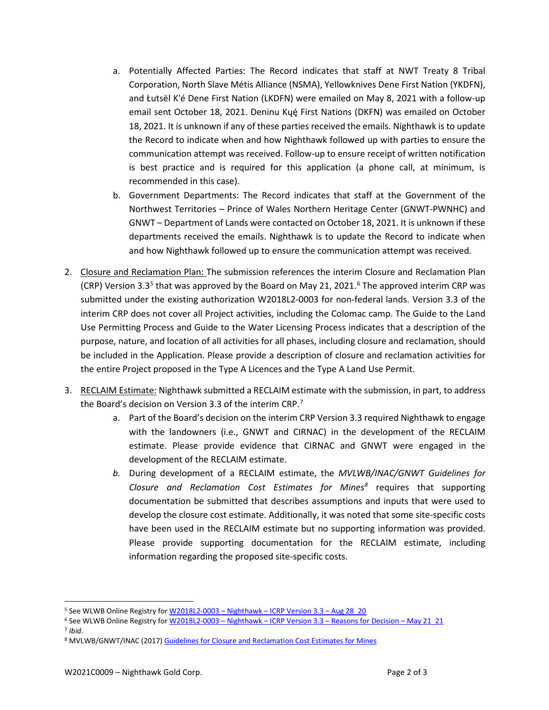- a. Potentially Affected Parties: The Record indicates that staff at NWT Treaty 8 Tribal Corporation, North Slave Métis Alliance (NSMA), Yellowknives Dene First Nation (YKDFN), and Łutsël K'é Dene First Nation (LKDFN) were emailed on May 8, 2021 with a follow-up email sent October 18, 2021. Deninu Kųę́ First Nations (DKFN) was emailed on October 18, 2021. It is unknown if any of these parties received the emails. Nighthawk is to update the Record to indicate when and how Nighthawk followed up with parties to ensure the communication attempt was received. Follow-up to ensure receipt of written notification is best practice and is required for this application (a phone call, at minimum, is recommended in this case).
- b. Government Departments: The Record indicates that staff at the Government of the Northwest Territories – Prince of Wales Northern Heritage Center (GNWT-PWNHC) and GNWT – Department of Lands were contacted on October 18, 2021. It is unknown if these departments received the emails. Nighthawk is to update the Record to indicate when and how Nighthawk followed up to ensure the communication attempt was received.
- 2. Closure and Reclamation Plan: The submission references the interim Closure and Reclamation Plan (CRP) Version 3.3<sup>[5](#page-1-0)</sup> that was approved by the Board on May 21, 2021.<sup>[6](#page-1-1)</sup> The approved interim CRP was submitted under the existing authorization W2018L2-0003 for non-federal lands. Version 3.3 of the interim CRP does not cover all Project activities, including the Colomac camp. The Guide to the Land Use Permitting Process and Guide to the Water Licensing Process indicates that a description of the purpose, nature, and location of all activities for all phases, including closure and reclamation, should be included in the Application. Please provide a description of closure and reclamation activities for the entire Project proposed in the Type A Licences and the Type A Land Use Permit.
- 3. RECLAIM Estimate: Nighthawk submitted a RECLAIM estimate with the submission, in part, to address the Board's decision on Version 3.3 of the interim CRP.<sup>[7](#page-1-2)</sup>
	- a. Part of the Board's decision on the interim CRP Version 3.3 required Nighthawk to engage with the landowners (i.e., GNWT and CIRNAC) in the development of the RECLAIM estimate. Please provide evidence that CIRNAC and GNWT were engaged in the development of the RECLAIM estimate.
	- *b.* During development of a RECLAIM estimate, the *MVLWB/INAC/GNWT Guidelines for Closure and Reclamation Cost Estimates for Mines[8](#page-1-3)* requires that supporting documentation be submitted that describes assumptions and inputs that were used to develop the closure cost estimate. Additionally, it was noted that some site-specific costs have been used in the RECLAIM estimate but no supporting information was provided. Please provide supporting documentation for the RECLAIM estimate, including information regarding the proposed site-specific costs.

<span id="page-1-2"></span><sup>7</sup> *Ibid.*

<span id="page-1-0"></span><sup>&</sup>lt;sup>5</sup> See WLWB Online Registry for W2018L2-0003 - Nighthawk - ICRP Version 3.3 - Aug 28 20

<span id="page-1-1"></span><sup>6</sup> See WLWB Online Registry for W2018L2-0003 - Nighthawk - ICRP Version 3.3 - Reasons for Decision - May 21\_21

<span id="page-1-3"></span><sup>8</sup> MVLWB/GNWT/INAC (2017) Guidelines for [Closure and Reclamation Cost Estimates for](https://mvlwb.com/sites/default/files/images/Closure%20Cost%20Estimating%20Guidelines_FINAL_Nov%2024%202017.pdf) Mines